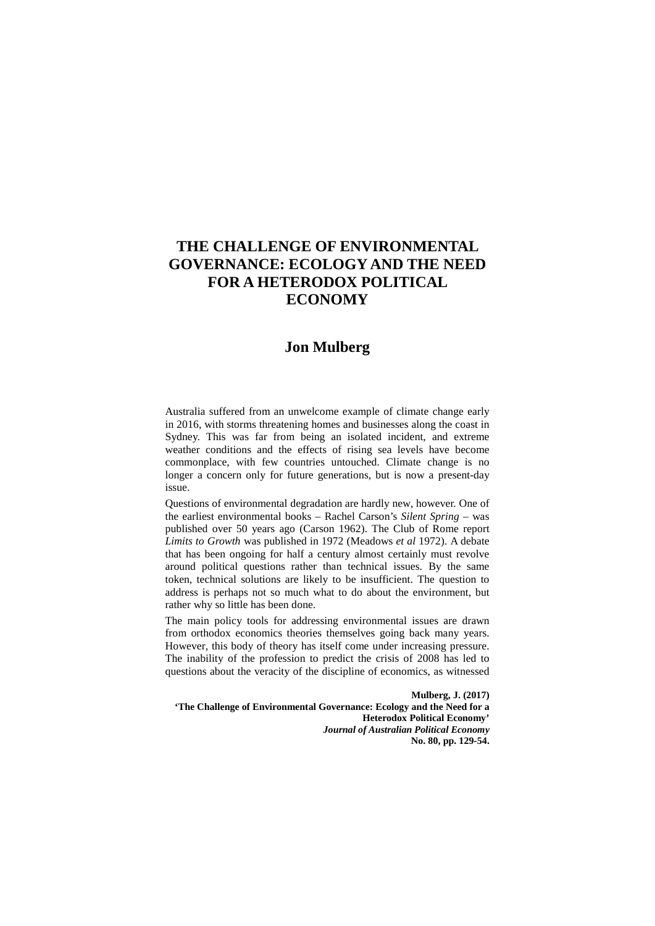# **THE CHALLENGE OF ENVIRONMENTAL GOVERNANCE: ECOLOGY AND THE NEED FOR A HETERODOX POLITICAL ECONOMY**

# **Jon Mulberg**

Australia suffered from an unwelcome example of climate change early in 2016, with storms threatening homes and businesses along the coast in Sydney. This was far from being an isolated incident, and extreme weather conditions and the effects of rising sea levels have become commonplace, with few countries untouched. Climate change is no longer a concern only for future generations, but is now a present-day issue.

Questions of environmental degradation are hardly new, however. One of the earliest environmental books – Rachel Carson's *Silent Spring* – was published over 50 years ago (Carson 1962). The Club of Rome report *Limits to Growth* was published in 1972 (Meadows *et al* 1972). A debate that has been ongoing for half a century almost certainly must revolve around political questions rather than technical issues. By the same token, technical solutions are likely to be insufficient. The question to address is perhaps not so much what to do about the environment, but rather why so little has been done.

The main policy tools for addressing environmental issues are drawn from orthodox economics theories themselves going back many years. However, this body of theory has itself come under increasing pressure. The inability of the profession to predict the crisis of 2008 has led to questions about the veracity of the discipline of economics, as witnessed

**Mulberg, J. (2017) 'The Challenge of Environmental Governance: Ecology and the Need for a Heterodox Political Economy'**  *Journal of Australian Political Economy* **No. 80, pp. 129-54.**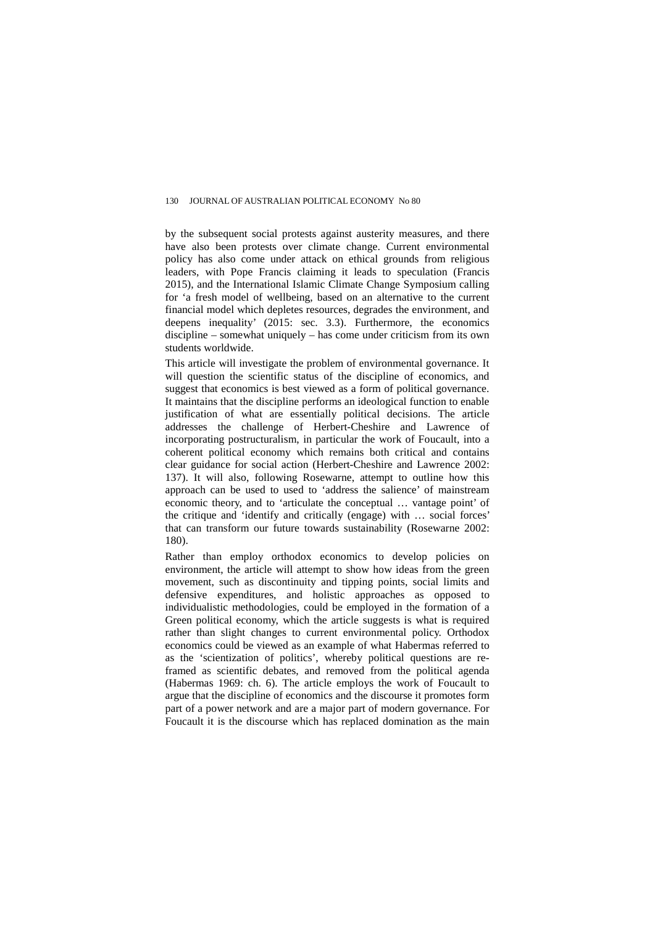by the subsequent social protests against austerity measures, and there have also been protests over climate change. Current environmental policy has also come under attack on ethical grounds from religious leaders, with Pope Francis claiming it leads to speculation (Francis 2015), and the International Islamic Climate Change Symposium calling for 'a fresh model of wellbeing, based on an alternative to the current financial model which depletes resources, degrades the environment, and deepens inequality' (2015: sec. 3.3). Furthermore, the economics discipline – somewhat uniquely – has come under criticism from its own students worldwide.

This article will investigate the problem of environmental governance. It will question the scientific status of the discipline of economics, and suggest that economics is best viewed as a form of political governance. It maintains that the discipline performs an ideological function to enable justification of what are essentially political decisions. The article addresses the challenge of Herbert-Cheshire and Lawrence of incorporating postructuralism, in particular the work of Foucault, into a coherent political economy which remains both critical and contains clear guidance for social action (Herbert-Cheshire and Lawrence 2002: 137). It will also, following Rosewarne, attempt to outline how this approach can be used to used to 'address the salience' of mainstream economic theory, and to 'articulate the conceptual … vantage point' of the critique and 'identify and critically (engage) with … social forces' that can transform our future towards sustainability (Rosewarne 2002: 180).

Rather than employ orthodox economics to develop policies on environment, the article will attempt to show how ideas from the green movement, such as discontinuity and tipping points, social limits and defensive expenditures, and holistic approaches as opposed to individualistic methodologies, could be employed in the formation of a Green political economy, which the article suggests is what is required rather than slight changes to current environmental policy. Orthodox economics could be viewed as an example of what Habermas referred to as the 'scientization of politics', whereby political questions are reframed as scientific debates, and removed from the political agenda (Habermas 1969: ch. 6). The article employs the work of Foucault to argue that the discipline of economics and the discourse it promotes form part of a power network and are a major part of modern governance. For Foucault it is the discourse which has replaced domination as the main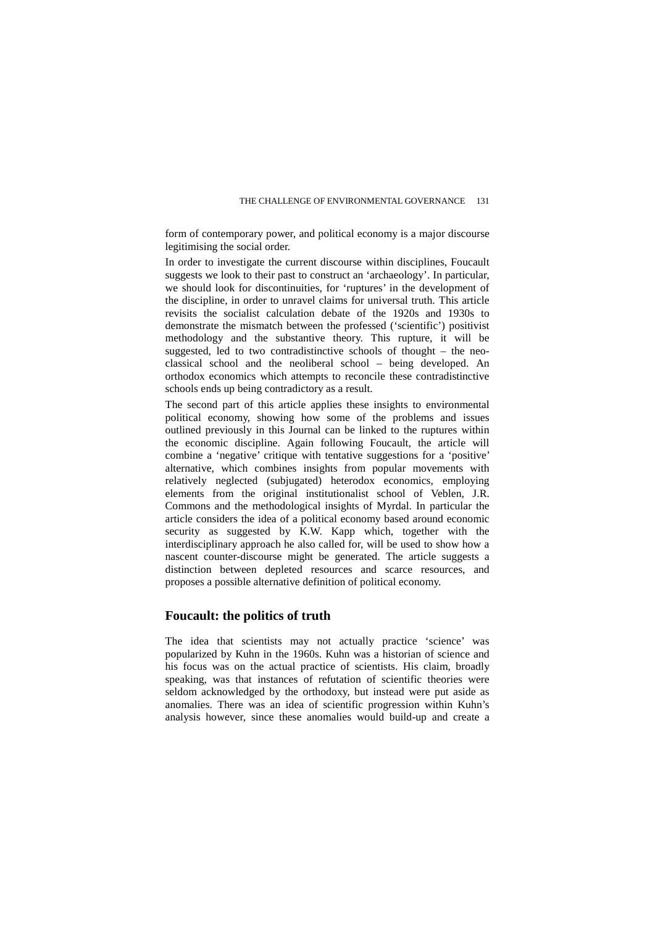form of contemporary power, and political economy is a major discourse legitimising the social order.

In order to investigate the current discourse within disciplines, Foucault suggests we look to their past to construct an 'archaeology'. In particular, we should look for discontinuities, for 'ruptures' in the development of the discipline, in order to unravel claims for universal truth. This article revisits the socialist calculation debate of the 1920s and 1930s to demonstrate the mismatch between the professed ('scientific') positivist methodology and the substantive theory. This rupture, it will be suggested, led to two contradistinctive schools of thought – the neoclassical school and the neoliberal school – being developed. An orthodox economics which attempts to reconcile these contradistinctive schools ends up being contradictory as a result.

The second part of this article applies these insights to environmental political economy, showing how some of the problems and issues outlined previously in this Journal can be linked to the ruptures within the economic discipline. Again following Foucault, the article will combine a 'negative' critique with tentative suggestions for a 'positive' alternative, which combines insights from popular movements with relatively neglected (subjugated) heterodox economics, employing elements from the original institutionalist school of Veblen, J.R. Commons and the methodological insights of Myrdal. In particular the article considers the idea of a political economy based around economic security as suggested by K.W. Kapp which, together with the interdisciplinary approach he also called for, will be used to show how a nascent counter-discourse might be generated. The article suggests a distinction between depleted resources and scarce resources, and proposes a possible alternative definition of political economy.

## **Foucault: the politics of truth**

The idea that scientists may not actually practice 'science' was popularized by Kuhn in the 1960s. Kuhn was a historian of science and his focus was on the actual practice of scientists. His claim, broadly speaking, was that instances of refutation of scientific theories were seldom acknowledged by the orthodoxy, but instead were put aside as anomalies. There was an idea of scientific progression within Kuhn's analysis however, since these anomalies would build-up and create a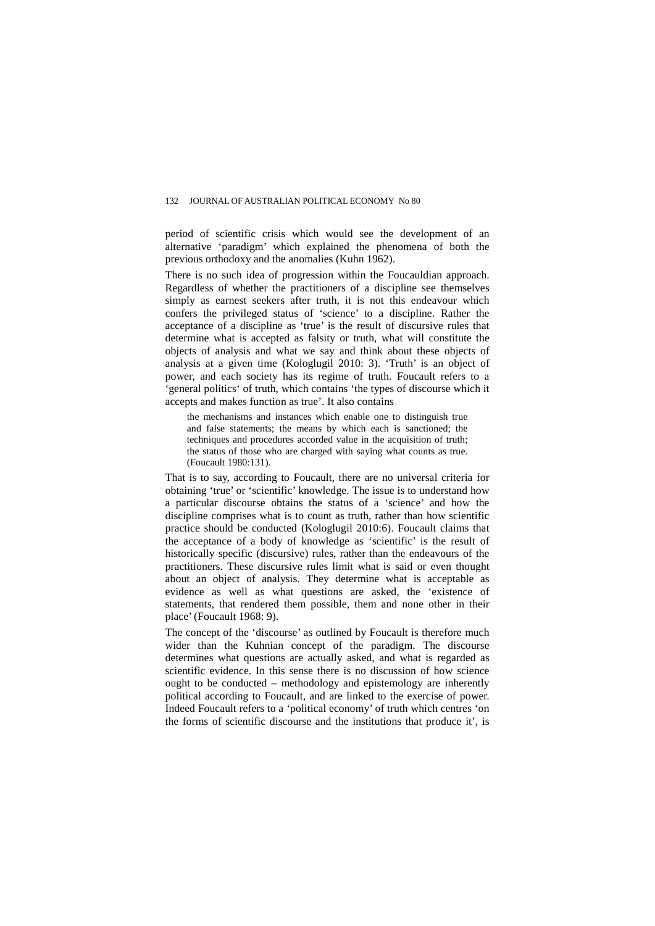period of scientific crisis which would see the development of an alternative 'paradigm' which explained the phenomena of both the previous orthodoxy and the anomalies (Kuhn 1962).

There is no such idea of progression within the Foucauldian approach. Regardless of whether the practitioners of a discipline see themselves simply as earnest seekers after truth, it is not this endeavour which confers the privileged status of 'science' to a discipline. Rather the acceptance of a discipline as 'true' is the result of discursive rules that determine what is accepted as falsity or truth, what will constitute the objects of analysis and what we say and think about these objects of analysis at a given time (Kologlugil 2010: 3). 'Truth' is an object of power, and each society has its regime of truth. Foucault refers to a 'general politics' of truth, which contains 'the types of discourse which it accepts and makes function as true'. It also contains

the mechanisms and instances which enable one to distinguish true and false statements; the means by which each is sanctioned; the techniques and procedures accorded value in the acquisition of truth; the status of those who are charged with saying what counts as true. (Foucault 1980:131).

That is to say, according to Foucault, there are no universal criteria for obtaining 'true' or 'scientific' knowledge. The issue is to understand how a particular discourse obtains the status of a 'science' and how the discipline comprises what is to count as truth, rather than how scientific practice should be conducted (Kologlugil 2010:6). Foucault claims that the acceptance of a body of knowledge as 'scientific' is the result of historically specific (discursive) rules, rather than the endeavours of the practitioners. These discursive rules limit what is said or even thought about an object of analysis. They determine what is acceptable as evidence as well as what questions are asked, the 'existence of statements, that rendered them possible, them and none other in their place' (Foucault 1968: 9).

The concept of the 'discourse' as outlined by Foucault is therefore much wider than the Kuhnian concept of the paradigm. The discourse determines what questions are actually asked, and what is regarded as scientific evidence. In this sense there is no discussion of how science ought to be conducted – methodology and epistemology are inherently political according to Foucault, and are linked to the exercise of power. Indeed Foucault refers to a 'political economy' of truth which centres 'on the forms of scientific discourse and the institutions that produce it', is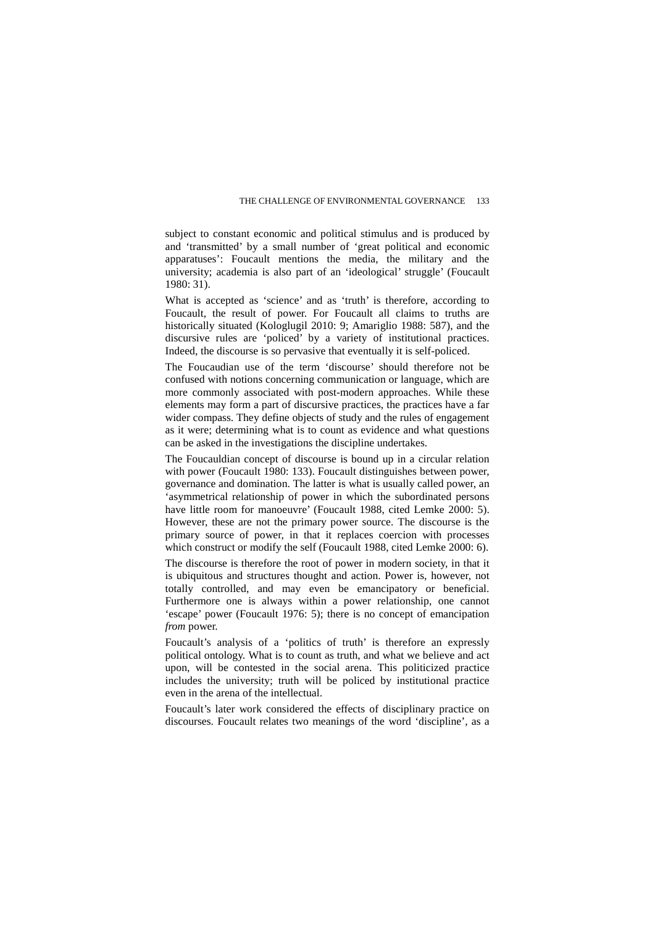subject to constant economic and political stimulus and is produced by and 'transmitted' by a small number of 'great political and economic apparatuses': Foucault mentions the media, the military and the university; academia is also part of an 'ideological' struggle' (Foucault 1980: 31).

What is accepted as 'science' and as 'truth' is therefore, according to Foucault, the result of power. For Foucault all claims to truths are historically situated (Kologlugil 2010: 9; Amariglio 1988: 587), and the discursive rules are 'policed' by a variety of institutional practices. Indeed, the discourse is so pervasive that eventually it is self-policed.

The Foucaudian use of the term 'discourse' should therefore not be confused with notions concerning communication or language, which are more commonly associated with post-modern approaches. While these elements may form a part of discursive practices, the practices have a far wider compass. They define objects of study and the rules of engagement as it were; determining what is to count as evidence and what questions can be asked in the investigations the discipline undertakes.

The Foucauldian concept of discourse is bound up in a circular relation with power (Foucault 1980: 133). Foucault distinguishes between power, governance and domination. The latter is what is usually called power, an 'asymmetrical relationship of power in which the subordinated persons have little room for manoeuvre' (Foucault 1988, cited Lemke 2000: 5). However, these are not the primary power source. The discourse is the primary source of power, in that it replaces coercion with processes which construct or modify the self (Foucault 1988, cited Lemke 2000: 6).

The discourse is therefore the root of power in modern society, in that it is ubiquitous and structures thought and action. Power is, however, not totally controlled, and may even be emancipatory or beneficial. Furthermore one is always within a power relationship, one cannot 'escape' power (Foucault 1976: 5); there is no concept of emancipation *from* power.

Foucault's analysis of a 'politics of truth' is therefore an expressly political ontology. What is to count as truth, and what we believe and act upon, will be contested in the social arena. This politicized practice includes the university; truth will be policed by institutional practice even in the arena of the intellectual.

Foucault's later work considered the effects of disciplinary practice on discourses. Foucault relates two meanings of the word 'discipline', as a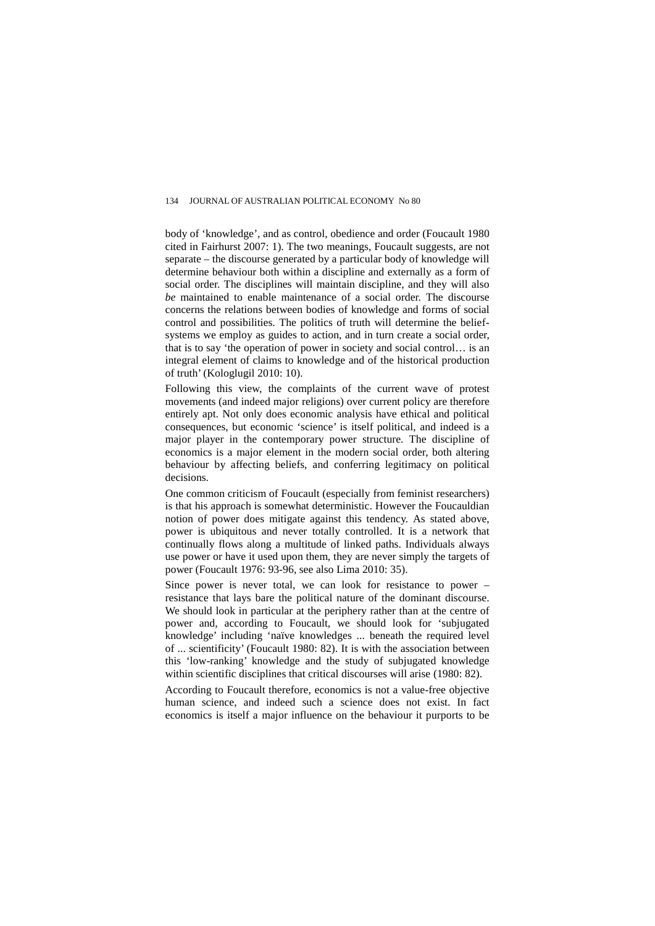body of 'knowledge', and as control, obedience and order (Foucault 1980 cited in Fairhurst 2007: 1). The two meanings, Foucault suggests, are not separate – the discourse generated by a particular body of knowledge will determine behaviour both within a discipline and externally as a form of social order. The disciplines will maintain discipline, and they will also *be* maintained to enable maintenance of a social order. The discourse concerns the relations between bodies of knowledge and forms of social control and possibilities. The politics of truth will determine the beliefsystems we employ as guides to action, and in turn create a social order, that is to say 'the operation of power in society and social control… is an integral element of claims to knowledge and of the historical production of truth' (Kologlugil 2010: 10).

Following this view, the complaints of the current wave of protest movements (and indeed major religions) over current policy are therefore entirely apt. Not only does economic analysis have ethical and political consequences, but economic 'science' is itself political, and indeed is a major player in the contemporary power structure. The discipline of economics is a major element in the modern social order, both altering behaviour by affecting beliefs, and conferring legitimacy on political decisions.

One common criticism of Foucault (especially from feminist researchers) is that his approach is somewhat deterministic. However the Foucauldian notion of power does mitigate against this tendency. As stated above, power is ubiquitous and never totally controlled. It is a network that continually flows along a multitude of linked paths. Individuals always use power or have it used upon them, they are never simply the targets of power (Foucault 1976: 93-96, see also Lima 2010: 35).

Since power is never total, we can look for resistance to power – resistance that lays bare the political nature of the dominant discourse. We should look in particular at the periphery rather than at the centre of power and, according to Foucault, we should look for 'subjugated knowledge' including 'naïve knowledges ... beneath the required level of ... scientificity' (Foucault 1980: 82). It is with the association between this 'low-ranking' knowledge and the study of subjugated knowledge within scientific disciplines that critical discourses will arise (1980: 82).

According to Foucault therefore, economics is not a value-free objective human science, and indeed such a science does not exist. In fact economics is itself a major influence on the behaviour it purports to be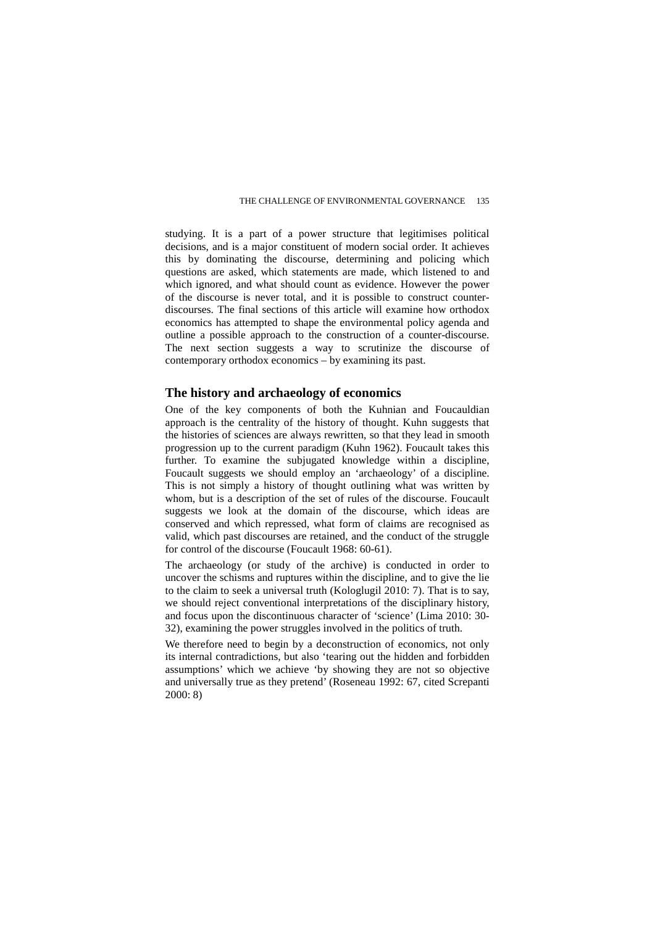studying. It is a part of a power structure that legitimises political decisions, and is a major constituent of modern social order. It achieves this by dominating the discourse, determining and policing which questions are asked, which statements are made, which listened to and which ignored, and what should count as evidence. However the power of the discourse is never total, and it is possible to construct counterdiscourses. The final sections of this article will examine how orthodox economics has attempted to shape the environmental policy agenda and outline a possible approach to the construction of a counter-discourse. The next section suggests a way to scrutinize the discourse of contemporary orthodox economics – by examining its past.

# **The history and archaeology of economics**

One of the key components of both the Kuhnian and Foucauldian approach is the centrality of the history of thought. Kuhn suggests that the histories of sciences are always rewritten, so that they lead in smooth progression up to the current paradigm (Kuhn 1962). Foucault takes this further. To examine the subjugated knowledge within a discipline, Foucault suggests we should employ an 'archaeology' of a discipline. This is not simply a history of thought outlining what was written by whom, but is a description of the set of rules of the discourse. Foucault suggests we look at the domain of the discourse, which ideas are conserved and which repressed, what form of claims are recognised as valid, which past discourses are retained, and the conduct of the struggle for control of the discourse (Foucault 1968: 60-61).

The archaeology (or study of the archive) is conducted in order to uncover the schisms and ruptures within the discipline, and to give the lie to the claim to seek a universal truth (Kologlugil 2010: 7). That is to say, we should reject conventional interpretations of the disciplinary history, and focus upon the discontinuous character of 'science' (Lima 2010: 30- 32), examining the power struggles involved in the politics of truth.

We therefore need to begin by a deconstruction of economics, not only its internal contradictions, but also 'tearing out the hidden and forbidden assumptions' which we achieve 'by showing they are not so objective and universally true as they pretend' (Roseneau 1992: 67, cited Screpanti 2000: 8)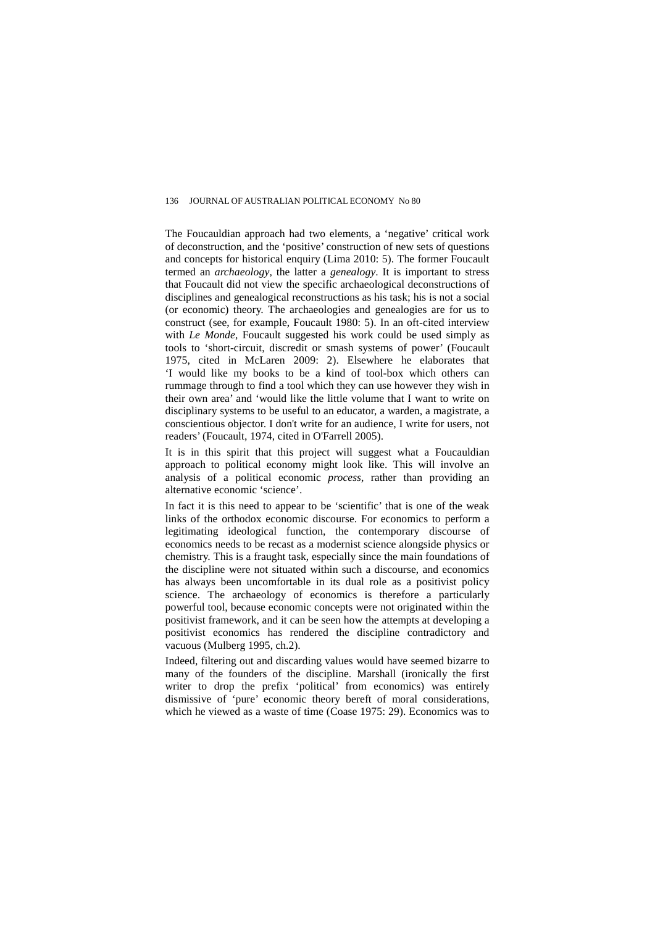The Foucauldian approach had two elements, a 'negative' critical work of deconstruction, and the 'positive' construction of new sets of questions and concepts for historical enquiry (Lima 2010: 5). The former Foucault termed an *archaeology*, the latter a *genealogy*. It is important to stress that Foucault did not view the specific archaeological deconstructions of disciplines and genealogical reconstructions as his task; his is not a social (or economic) theory. The archaeologies and genealogies are for us to construct (see, for example, Foucault 1980: 5). In an oft-cited interview with *Le Monde*, Foucault suggested his work could be used simply as tools to 'short-circuit, discredit or smash systems of power' (Foucault 1975, cited in McLaren 2009: 2). Elsewhere he elaborates that 'I would like my books to be a kind of tool-box which others can rummage through to find a tool which they can use however they wish in their own area' and 'would like the little volume that I want to write on disciplinary systems to be useful to an educator, a warden, a magistrate, a conscientious objector. I don't write for an audience, I write for users, not readers' (Foucault, 1974, cited in O'Farrell 2005).

It is in this spirit that this project will suggest what a Foucauldian approach to political economy might look like. This will involve an analysis of a political economic *process*, rather than providing an alternative economic 'science'.

In fact it is this need to appear to be 'scientific' that is one of the weak links of the orthodox economic discourse. For economics to perform a legitimating ideological function, the contemporary discourse of economics needs to be recast as a modernist science alongside physics or chemistry. This is a fraught task, especially since the main foundations of the discipline were not situated within such a discourse, and economics has always been uncomfortable in its dual role as a positivist policy science. The archaeology of economics is therefore a particularly powerful tool, because economic concepts were not originated within the positivist framework, and it can be seen how the attempts at developing a positivist economics has rendered the discipline contradictory and vacuous (Mulberg 1995, ch.2).

Indeed, filtering out and discarding values would have seemed bizarre to many of the founders of the discipline. Marshall (ironically the first writer to drop the prefix 'political' from economics) was entirely dismissive of 'pure' economic theory bereft of moral considerations, which he viewed as a waste of time (Coase 1975: 29). Economics was to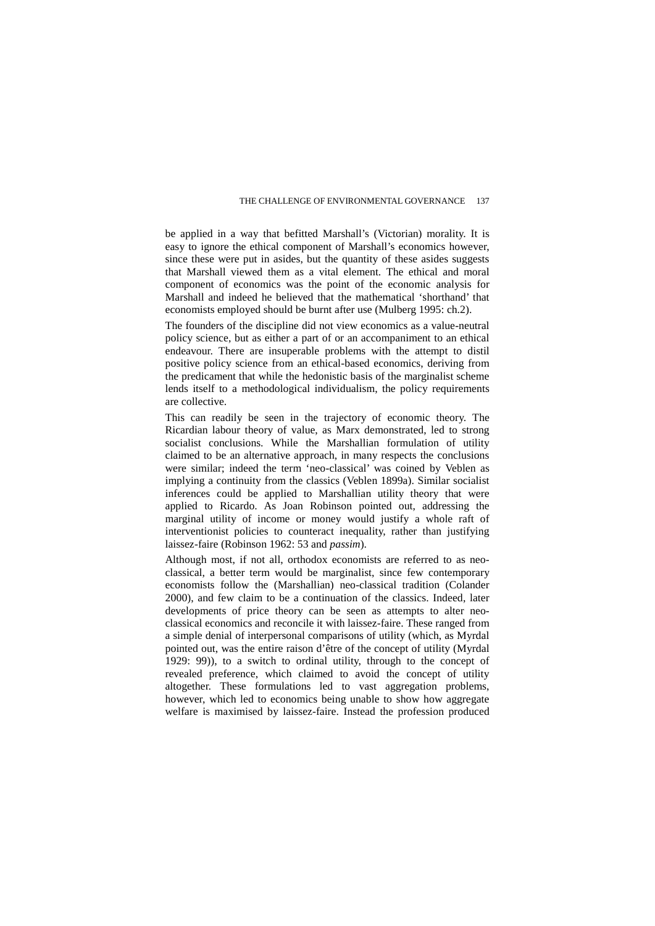be applied in a way that befitted Marshall's (Victorian) morality. It is easy to ignore the ethical component of Marshall's economics however, since these were put in asides, but the quantity of these asides suggests that Marshall viewed them as a vital element. The ethical and moral component of economics was the point of the economic analysis for Marshall and indeed he believed that the mathematical 'shorthand' that economists employed should be burnt after use (Mulberg 1995: ch.2).

The founders of the discipline did not view economics as a value-neutral policy science, but as either a part of or an accompaniment to an ethical endeavour. There are insuperable problems with the attempt to distil positive policy science from an ethical-based economics, deriving from the predicament that while the hedonistic basis of the marginalist scheme lends itself to a methodological individualism, the policy requirements are collective.

This can readily be seen in the trajectory of economic theory. The Ricardian labour theory of value, as Marx demonstrated, led to strong socialist conclusions. While the Marshallian formulation of utility claimed to be an alternative approach, in many respects the conclusions were similar; indeed the term 'neo-classical' was coined by Veblen as implying a continuity from the classics (Veblen 1899a). Similar socialist inferences could be applied to Marshallian utility theory that were applied to Ricardo. As Joan Robinson pointed out, addressing the marginal utility of income or money would justify a whole raft of interventionist policies to counteract inequality, rather than justifying laissez-faire (Robinson 1962: 53 and *passim*).

Although most, if not all, orthodox economists are referred to as neoclassical, a better term would be marginalist, since few contemporary economists follow the (Marshallian) neo-classical tradition (Colander 2000), and few claim to be a continuation of the classics. Indeed, later developments of price theory can be seen as attempts to alter neoclassical economics and reconcile it with laissez-faire. These ranged from a simple denial of interpersonal comparisons of utility (which, as Myrdal pointed out, was the entire raison d'être of the concept of utility (Myrdal 1929: 99)), to a switch to ordinal utility, through to the concept of revealed preference, which claimed to avoid the concept of utility altogether. These formulations led to vast aggregation problems, however, which led to economics being unable to show how aggregate welfare is maximised by laissez-faire. Instead the profession produced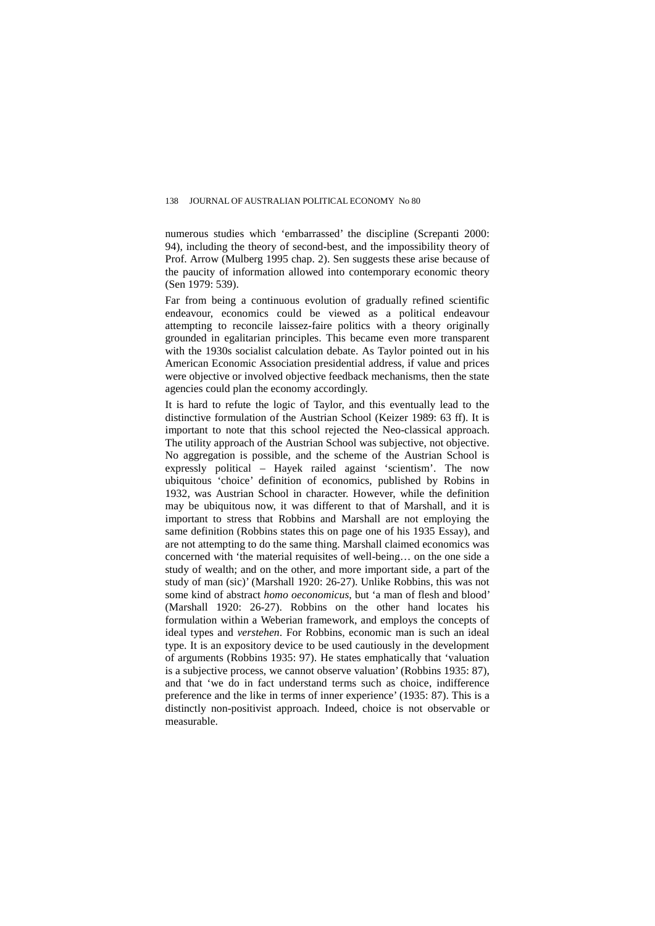numerous studies which 'embarrassed' the discipline (Screpanti 2000: 94), including the theory of second-best, and the impossibility theory of Prof. Arrow (Mulberg 1995 chap. 2). Sen suggests these arise because of the paucity of information allowed into contemporary economic theory (Sen 1979: 539).

Far from being a continuous evolution of gradually refined scientific endeavour, economics could be viewed as a political endeavour attempting to reconcile laissez-faire politics with a theory originally grounded in egalitarian principles. This became even more transparent with the 1930s socialist calculation debate. As Taylor pointed out in his American Economic Association presidential address, if value and prices were objective or involved objective feedback mechanisms, then the state agencies could plan the economy accordingly.

It is hard to refute the logic of Taylor, and this eventually lead to the distinctive formulation of the Austrian School (Keizer 1989: 63 ff). It is important to note that this school rejected the Neo-classical approach. The utility approach of the Austrian School was subjective, not objective. No aggregation is possible, and the scheme of the Austrian School is expressly political – Hayek railed against 'scientism'. The now ubiquitous 'choice' definition of economics, published by Robins in 1932, was Austrian School in character. However, while the definition may be ubiquitous now, it was different to that of Marshall, and it is important to stress that Robbins and Marshall are not employing the same definition (Robbins states this on page one of his 1935 Essay), and are not attempting to do the same thing. Marshall claimed economics was concerned with 'the material requisites of well-being… on the one side a study of wealth; and on the other, and more important side, a part of the study of man (sic)' (Marshall 1920: 26-27). Unlike Robbins, this was not some kind of abstract *homo oeconomicus*, but 'a man of flesh and blood' (Marshall 1920: 26-27). Robbins on the other hand locates his formulation within a Weberian framework, and employs the concepts of ideal types and *verstehen*. For Robbins, economic man is such an ideal type. It is an expository device to be used cautiously in the development of arguments (Robbins 1935: 97). He states emphatically that 'valuation is a subjective process, we cannot observe valuation' (Robbins 1935: 87), and that 'we do in fact understand terms such as choice, indifference preference and the like in terms of inner experience' (1935: 87). This is a distinctly non-positivist approach. Indeed, choice is not observable or measurable.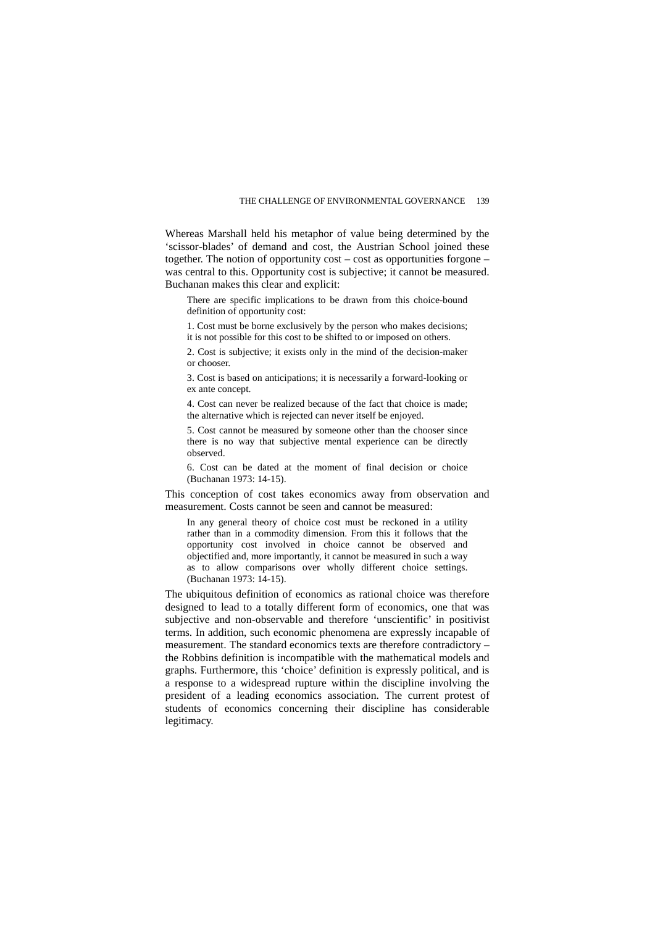Whereas Marshall held his metaphor of value being determined by the 'scissor-blades' of demand and cost, the Austrian School joined these together. The notion of opportunity cost – cost as opportunities forgone – was central to this. Opportunity cost is subjective; it cannot be measured. Buchanan makes this clear and explicit:

There are specific implications to be drawn from this choice-bound definition of opportunity cost:

1. Cost must be borne exclusively by the person who makes decisions; it is not possible for this cost to be shifted to or imposed on others.

2. Cost is subjective; it exists only in the mind of the decision-maker or chooser.

3. Cost is based on anticipations; it is necessarily a forward-looking or ex ante concept.

4. Cost can never be realized because of the fact that choice is made; the alternative which is rejected can never itself be enjoyed.

5. Cost cannot be measured by someone other than the chooser since there is no way that subjective mental experience can be directly observed.

6. Cost can be dated at the moment of final decision or choice (Buchanan 1973: 14-15).

This conception of cost takes economics away from observation and measurement. Costs cannot be seen and cannot be measured:

In any general theory of choice cost must be reckoned in a utility rather than in a commodity dimension. From this it follows that the opportunity cost involved in choice cannot be observed and objectified and, more importantly, it cannot be measured in such a way as to allow comparisons over wholly different choice settings. (Buchanan 1973: 14-15).

The ubiquitous definition of economics as rational choice was therefore designed to lead to a totally different form of economics, one that was subjective and non-observable and therefore 'unscientific' in positivist terms. In addition, such economic phenomena are expressly incapable of measurement. The standard economics texts are therefore contradictory – the Robbins definition is incompatible with the mathematical models and graphs. Furthermore, this 'choice' definition is expressly political, and is a response to a widespread rupture within the discipline involving the president of a leading economics association. The current protest of students of economics concerning their discipline has considerable legitimacy.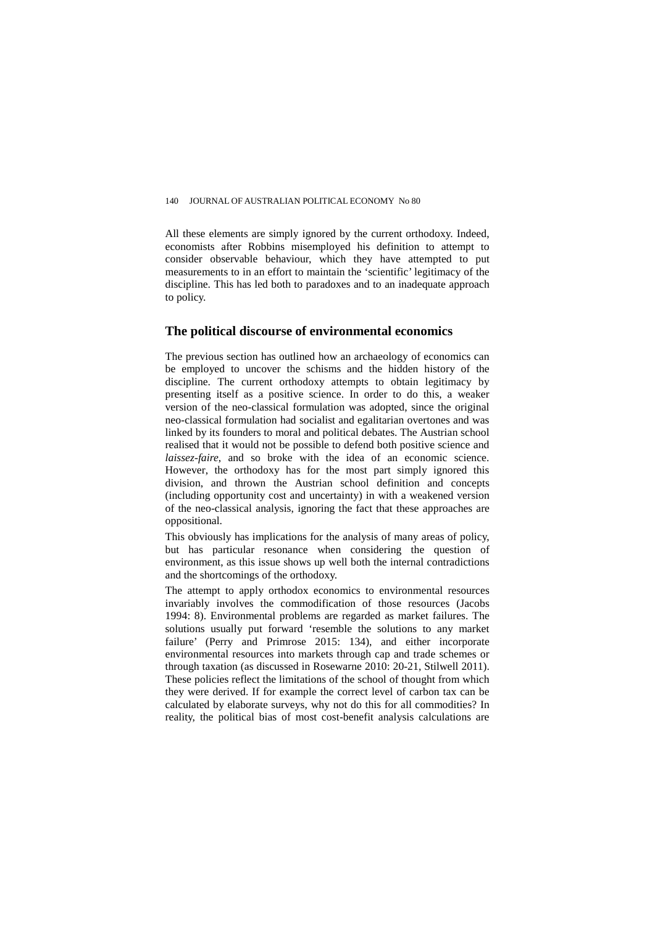All these elements are simply ignored by the current orthodoxy. Indeed, economists after Robbins misemployed his definition to attempt to consider observable behaviour, which they have attempted to put measurements to in an effort to maintain the 'scientific' legitimacy of the discipline. This has led both to paradoxes and to an inadequate approach to policy.

## **The political discourse of environmental economics**

The previous section has outlined how an archaeology of economics can be employed to uncover the schisms and the hidden history of the discipline. The current orthodoxy attempts to obtain legitimacy by presenting itself as a positive science. In order to do this, a weaker version of the neo-classical formulation was adopted, since the original neo-classical formulation had socialist and egalitarian overtones and was linked by its founders to moral and political debates. The Austrian school realised that it would not be possible to defend both positive science and *laissez-faire*, and so broke with the idea of an economic science. However, the orthodoxy has for the most part simply ignored this division, and thrown the Austrian school definition and concepts (including opportunity cost and uncertainty) in with a weakened version of the neo-classical analysis, ignoring the fact that these approaches are oppositional.

This obviously has implications for the analysis of many areas of policy, but has particular resonance when considering the question of environment, as this issue shows up well both the internal contradictions and the shortcomings of the orthodoxy.

The attempt to apply orthodox economics to environmental resources invariably involves the commodification of those resources (Jacobs 1994: 8). Environmental problems are regarded as market failures. The solutions usually put forward 'resemble the solutions to any market failure' (Perry and Primrose 2015: 134), and either incorporate environmental resources into markets through cap and trade schemes or through taxation (as discussed in Rosewarne 2010: 20-21, Stilwell 2011). These policies reflect the limitations of the school of thought from which they were derived. If for example the correct level of carbon tax can be calculated by elaborate surveys, why not do this for all commodities? In reality, the political bias of most cost-benefit analysis calculations are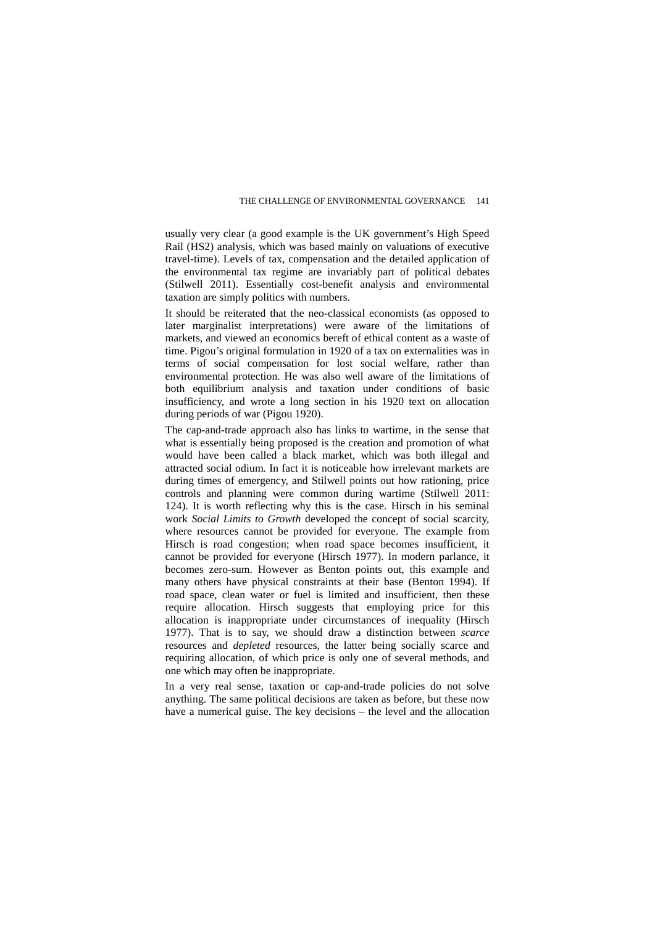usually very clear (a good example is the UK government's High Speed Rail (HS2) analysis, which was based mainly on valuations of executive travel-time). Levels of tax, compensation and the detailed application of the environmental tax regime are invariably part of political debates (Stilwell 2011). Essentially cost-benefit analysis and environmental taxation are simply politics with numbers.

It should be reiterated that the neo-classical economists (as opposed to later marginalist interpretations) were aware of the limitations of markets, and viewed an economics bereft of ethical content as a waste of time. Pigou's original formulation in 1920 of a tax on externalities was in terms of social compensation for lost social welfare, rather than environmental protection. He was also well aware of the limitations of both equilibrium analysis and taxation under conditions of basic insufficiency, and wrote a long section in his 1920 text on allocation during periods of war (Pigou 1920).

The cap-and-trade approach also has links to wartime, in the sense that what is essentially being proposed is the creation and promotion of what would have been called a black market, which was both illegal and attracted social odium. In fact it is noticeable how irrelevant markets are during times of emergency, and Stilwell points out how rationing, price controls and planning were common during wartime (Stilwell 2011: 124). It is worth reflecting why this is the case. Hirsch in his seminal work *Social Limits to Growth* developed the concept of social scarcity, where resources cannot be provided for everyone. The example from Hirsch is road congestion; when road space becomes insufficient, it cannot be provided for everyone (Hirsch 1977). In modern parlance, it becomes zero-sum. However as Benton points out, this example and many others have physical constraints at their base (Benton 1994). If road space, clean water or fuel is limited and insufficient, then these require allocation. Hirsch suggests that employing price for this allocation is inappropriate under circumstances of inequality (Hirsch 1977). That is to say, we should draw a distinction between *scarce* resources and *depleted* resources, the latter being socially scarce and requiring allocation, of which price is only one of several methods, and one which may often be inappropriate.

In a very real sense, taxation or cap-and-trade policies do not solve anything. The same political decisions are taken as before, but these now have a numerical guise. The key decisions – the level and the allocation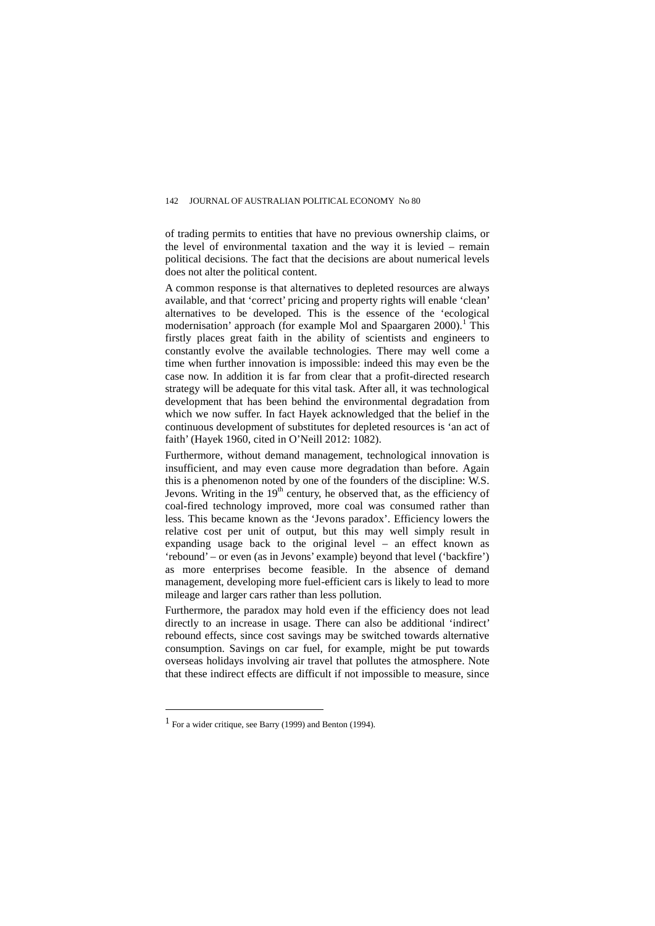of trading permits to entities that have no previous ownership claims, or the level of environmental taxation and the way it is levied – remain political decisions. The fact that the decisions are about numerical levels does not alter the political content.

A common response is that alternatives to depleted resources are always available, and that 'correct' pricing and property rights will enable 'clean' alternatives to be developed. This is the essence of the 'ecological modernisation' approach (for example Mol and Spaargaren  $2000$ ).<sup>[1](#page-13-0)</sup> This firstly places great faith in the ability of scientists and engineers to constantly evolve the available technologies. There may well come a time when further innovation is impossible: indeed this may even be the case now. In addition it is far from clear that a profit-directed research strategy will be adequate for this vital task. After all, it was technological development that has been behind the environmental degradation from which we now suffer. In fact Hayek acknowledged that the belief in the continuous development of substitutes for depleted resources is 'an act of faith' (Hayek 1960, cited in O'Neill 2012: 1082).

Furthermore, without demand management, technological innovation is insufficient, and may even cause more degradation than before. Again this is a phenomenon noted by one of the founders of the discipline: W.S. Jevons. Writing in the  $19<sup>th</sup>$  century, he observed that, as the efficiency of coal-fired technology improved, more coal was consumed rather than less. This became known as the 'Jevons paradox'. Efficiency lowers the relative cost per unit of output, but this may well simply result in expanding usage back to the original level – an effect known as 'rebound' – or even (as in Jevons' example) beyond that level ('backfire') as more enterprises become feasible. In the absence of demand management, developing more fuel-efficient cars is likely to lead to more mileage and larger cars rather than less pollution.

Furthermore, the paradox may hold even if the efficiency does not lead directly to an increase in usage. There can also be additional 'indirect' rebound effects, since cost savings may be switched towards alternative consumption. Savings on car fuel, for example, might be put towards overseas holidays involving air travel that pollutes the atmosphere. Note that these indirect effects are difficult if not impossible to measure, since

 $\overline{a}$ 

<span id="page-13-0"></span><sup>1</sup> For a wider critique, see Barry (1999) and Benton (1994).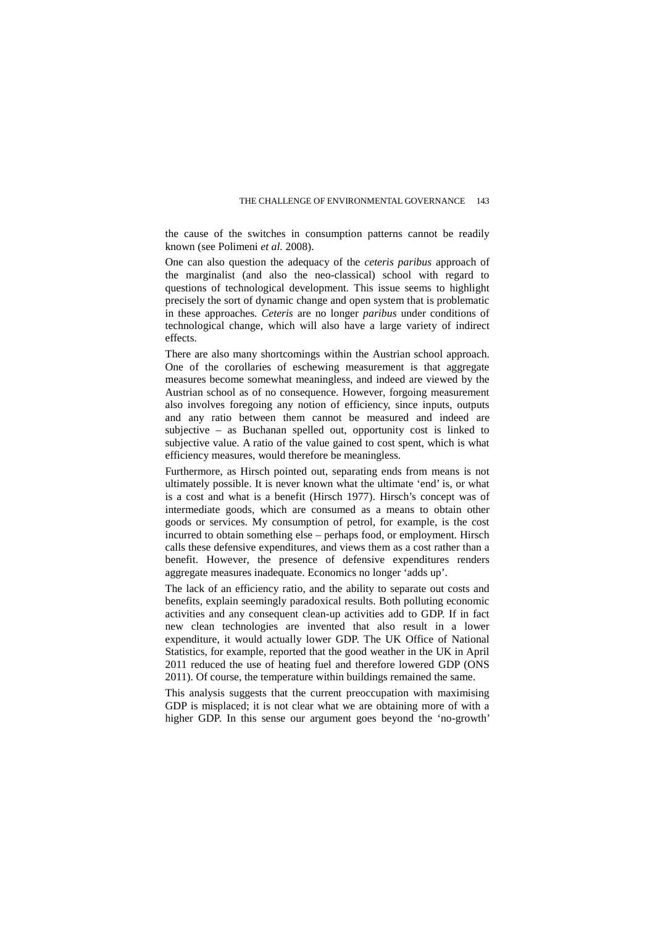the cause of the switches in consumption patterns cannot be readily known (see Polimeni *et al.* 2008).

One can also question the adequacy of the *ceteris paribus* approach of the marginalist (and also the neo-classical) school with regard to questions of technological development. This issue seems to highlight precisely the sort of dynamic change and open system that is problematic in these approaches. *Ceteris* are no longer *paribus* under conditions of technological change, which will also have a large variety of indirect effects.

There are also many shortcomings within the Austrian school approach. One of the corollaries of eschewing measurement is that aggregate measures become somewhat meaningless, and indeed are viewed by the Austrian school as of no consequence. However, forgoing measurement also involves foregoing any notion of efficiency, since inputs, outputs and any ratio between them cannot be measured and indeed are subjective – as Buchanan spelled out, opportunity cost is linked to subjective value. A ratio of the value gained to cost spent, which is what efficiency measures, would therefore be meaningless.

Furthermore, as Hirsch pointed out, separating ends from means is not ultimately possible. It is never known what the ultimate 'end' is, or what is a cost and what is a benefit (Hirsch 1977). Hirsch's concept was of intermediate goods, which are consumed as a means to obtain other goods or services. My consumption of petrol, for example, is the cost incurred to obtain something else – perhaps food, or employment. Hirsch calls these defensive expenditures, and views them as a cost rather than a benefit. However, the presence of defensive expenditures renders aggregate measures inadequate. Economics no longer 'adds up'.

The lack of an efficiency ratio, and the ability to separate out costs and benefits, explain seemingly paradoxical results. Both polluting economic activities and any consequent clean-up activities add to GDP. If in fact new clean technologies are invented that also result in a lower expenditure, it would actually lower GDP. The UK Office of National Statistics, for example, reported that the good weather in the UK in April 2011 reduced the use of heating fuel and therefore lowered GDP (ONS 2011). Of course, the temperature within buildings remained the same.

This analysis suggests that the current preoccupation with maximising GDP is misplaced; it is not clear what we are obtaining more of with a higher GDP. In this sense our argument goes beyond the 'no-growth'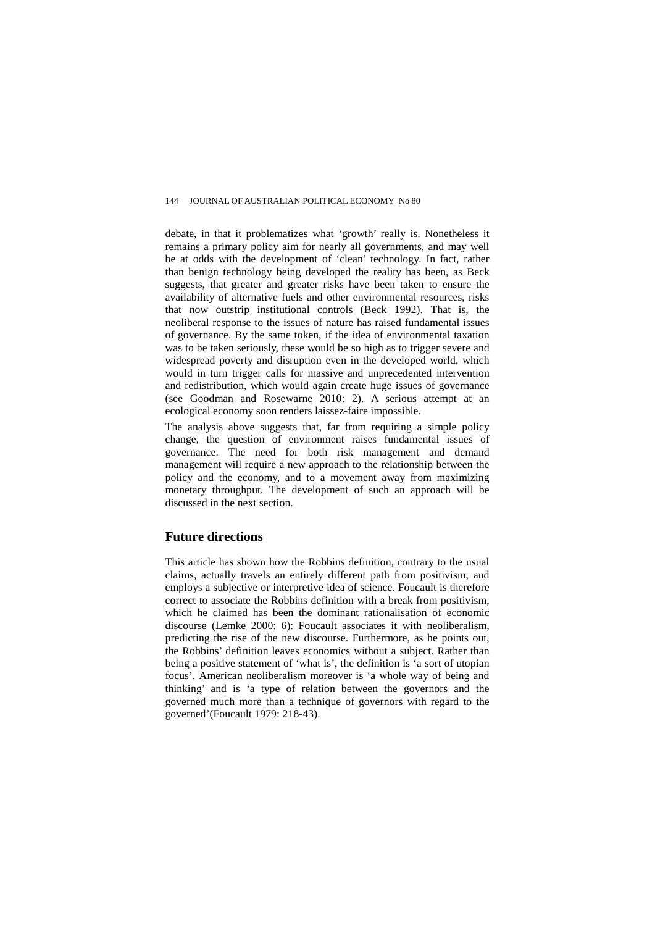debate, in that it problematizes what 'growth' really is. Nonetheless it remains a primary policy aim for nearly all governments, and may well be at odds with the development of 'clean' technology. In fact, rather than benign technology being developed the reality has been, as Beck suggests, that greater and greater risks have been taken to ensure the availability of alternative fuels and other environmental resources, risks that now outstrip institutional controls (Beck 1992). That is, the neoliberal response to the issues of nature has raised fundamental issues of governance. By the same token, if the idea of environmental taxation was to be taken seriously, these would be so high as to trigger severe and widespread poverty and disruption even in the developed world, which would in turn trigger calls for massive and unprecedented intervention and redistribution, which would again create huge issues of governance (see Goodman and Rosewarne 2010: 2). A serious attempt at an ecological economy soon renders laissez-faire impossible.

The analysis above suggests that, far from requiring a simple policy change, the question of environment raises fundamental issues of governance. The need for both risk management and demand management will require a new approach to the relationship between the policy and the economy, and to a movement away from maximizing monetary throughput. The development of such an approach will be discussed in the next section.

# **Future directions**

This article has shown how the Robbins definition, contrary to the usual claims, actually travels an entirely different path from positivism, and employs a subjective or interpretive idea of science. Foucault is therefore correct to associate the Robbins definition with a break from positivism, which he claimed has been the dominant rationalisation of economic discourse (Lemke 2000: 6): Foucault associates it with neoliberalism, predicting the rise of the new discourse. Furthermore, as he points out, the Robbins' definition leaves economics without a subject. Rather than being a positive statement of 'what is', the definition is 'a sort of utopian focus'. American neoliberalism moreover is 'a whole way of being and thinking' and is 'a type of relation between the governors and the governed much more than a technique of governors with regard to the governed'(Foucault 1979: 218-43).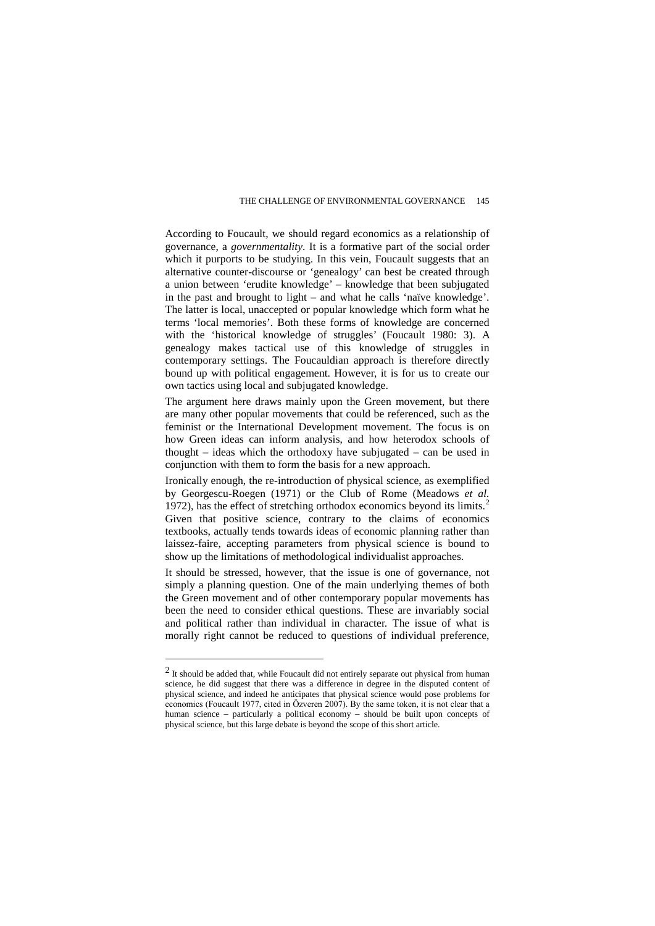According to Foucault, we should regard economics as a relationship of governance, a *governmentality*. It is a formative part of the social order which it purports to be studying. In this vein, Foucault suggests that an alternative counter-discourse or 'genealogy' can best be created through a union between 'erudite knowledge' – knowledge that been subjugated in the past and brought to light – and what he calls 'naïve knowledge'. The latter is local, unaccepted or popular knowledge which form what he terms 'local memories'. Both these forms of knowledge are concerned with the 'historical knowledge of struggles' (Foucault 1980: 3). A genealogy makes tactical use of this knowledge of struggles in contemporary settings. The Foucauldian approach is therefore directly bound up with political engagement. However, it is for us to create our own tactics using local and subjugated knowledge.

The argument here draws mainly upon the Green movement, but there are many other popular movements that could be referenced, such as the feminist or the International Development movement. The focus is on how Green ideas can inform analysis, and how heterodox schools of thought – ideas which the orthodoxy have subjugated – can be used in conjunction with them to form the basis for a new approach.

Ironically enough, the re-introduction of physical science, as exemplified by Georgescu-Roegen (1971) or the Club of Rome (Meadows *et al.* 197[2](#page-16-0)), has the effect of stretching orthodox economics beyond its limits.<sup>2</sup> Given that positive science, contrary to the claims of economics textbooks, actually tends towards ideas of economic planning rather than laissez-faire, accepting parameters from physical science is bound to show up the limitations of methodological individualist approaches.

It should be stressed, however, that the issue is one of governance, not simply a planning question. One of the main underlying themes of both the Green movement and of other contemporary popular movements has been the need to consider ethical questions. These are invariably social and political rather than individual in character. The issue of what is morally right cannot be reduced to questions of individual preference,

 $\overline{a}$ 

<span id="page-16-0"></span><sup>&</sup>lt;sup>2</sup> It should be added that, while Foucault did not entirely separate out physical from human science, he did suggest that there was a difference in degree in the disputed content of physical science, and indeed he anticipates that physical science would pose problems for economics (Foucault 1977, cited in Ӧzveren 2007). By the same token, it is not clear that a human science – particularly a political economy – should be built upon concepts of physical science, but this large debate is beyond the scope of this short article.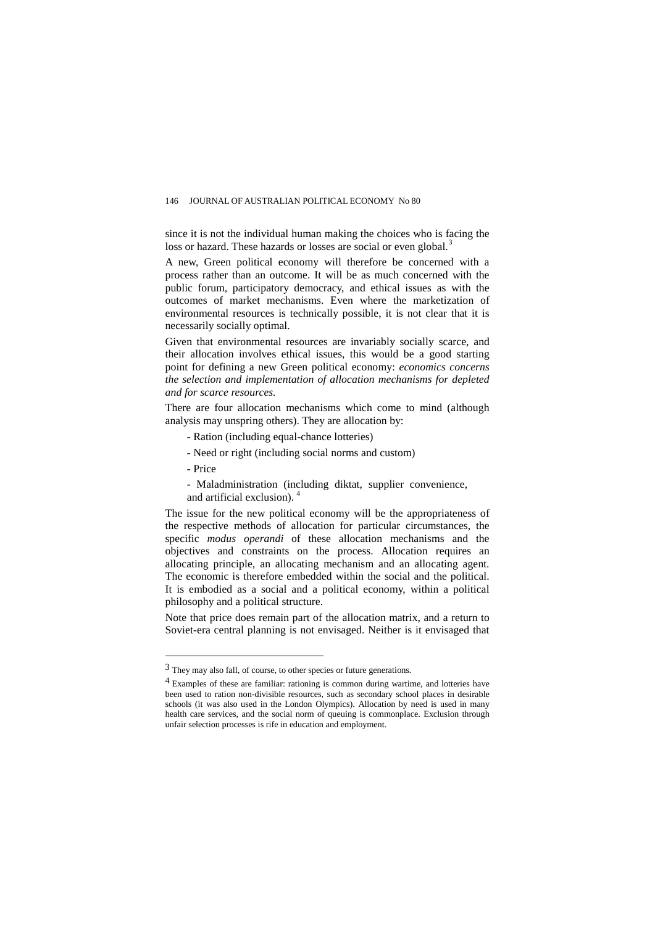since it is not the individual human making the choices who is facing the loss or hazard. These hazards or losses are social or even global.<sup>[3](#page-17-0)</sup>

A new, Green political economy will therefore be concerned with a process rather than an outcome. It will be as much concerned with the public forum, participatory democracy, and ethical issues as with the outcomes of market mechanisms. Even where the marketization of environmental resources is technically possible, it is not clear that it is necessarily socially optimal.

Given that environmental resources are invariably socially scarce, and their allocation involves ethical issues, this would be a good starting point for defining a new Green political economy: *economics concerns the selection and implementation of allocation mechanisms for depleted and for scarce resources.*

There are four allocation mechanisms which come to mind (although analysis may unspring others). They are allocation by:

- Ration (including equal-chance lotteries)
- Need or right (including social norms and custom)
- Price

 $\overline{a}$ 

- Maladministration (including diktat, supplier convenience, and artificial exclusion). [4](#page-17-1)

The issue for the new political economy will be the appropriateness of the respective methods of allocation for particular circumstances, the specific *modus operandi* of these allocation mechanisms and the objectives and constraints on the process. Allocation requires an allocating principle, an allocating mechanism and an allocating agent. The economic is therefore embedded within the social and the political. It is embodied as a social and a political economy, within a political philosophy and a political structure.

Note that price does remain part of the allocation matrix, and a return to Soviet-era central planning is not envisaged. Neither is it envisaged that

<span id="page-17-0"></span><sup>3</sup> They may also fall, of course, to other species or future generations.

<span id="page-17-1"></span><sup>4</sup> Examples of these are familiar: rationing is common during wartime, and lotteries have been used to ration non-divisible resources, such as secondary school places in desirable schools (it was also used in the London Olympics). Allocation by need is used in many health care services, and the social norm of queuing is commonplace. Exclusion through unfair selection processes is rife in education and employment.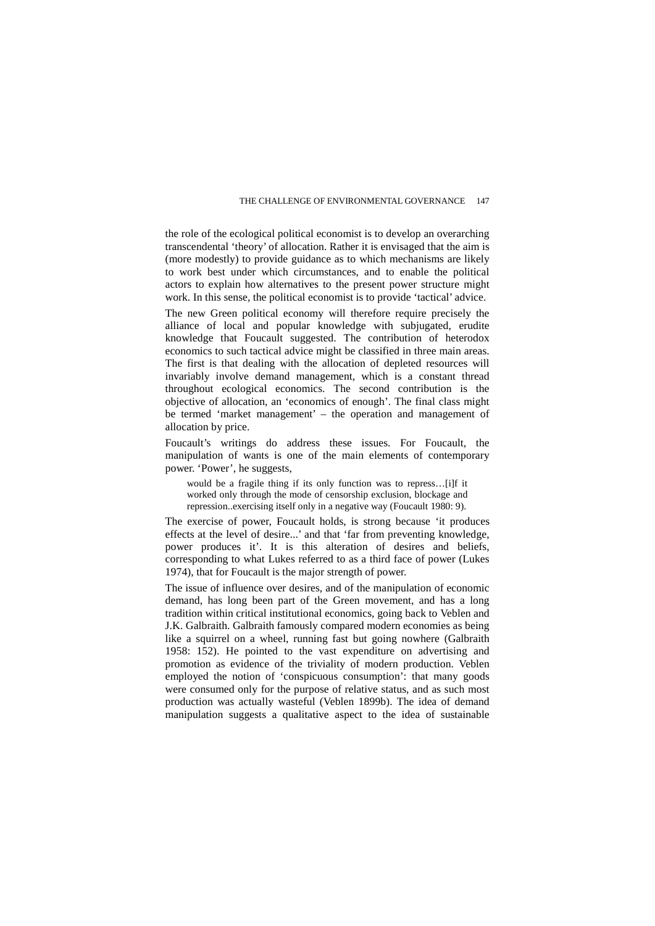the role of the ecological political economist is to develop an overarching transcendental 'theory' of allocation. Rather it is envisaged that the aim is (more modestly) to provide guidance as to which mechanisms are likely to work best under which circumstances, and to enable the political actors to explain how alternatives to the present power structure might work. In this sense, the political economist is to provide 'tactical' advice.

The new Green political economy will therefore require precisely the alliance of local and popular knowledge with subjugated, erudite knowledge that Foucault suggested. The contribution of heterodox economics to such tactical advice might be classified in three main areas. The first is that dealing with the allocation of depleted resources will invariably involve demand management, which is a constant thread throughout ecological economics. The second contribution is the objective of allocation, an 'economics of enough'. The final class might be termed 'market management' – the operation and management of allocation by price.

Foucault's writings do address these issues. For Foucault, the manipulation of wants is one of the main elements of contemporary power. 'Power', he suggests,

would be a fragile thing if its only function was to repress…[i]f it worked only through the mode of censorship exclusion, blockage and repression..exercising itself only in a negative way (Foucault 1980: 9).

The exercise of power, Foucault holds, is strong because 'it produces effects at the level of desire...' and that 'far from preventing knowledge, power produces it'. It is this alteration of desires and beliefs, corresponding to what Lukes referred to as a third face of power (Lukes 1974), that for Foucault is the major strength of power.

The issue of influence over desires, and of the manipulation of economic demand, has long been part of the Green movement, and has a long tradition within critical institutional economics, going back to Veblen and J.K. Galbraith. Galbraith famously compared modern economies as being like a squirrel on a wheel, running fast but going nowhere (Galbraith 1958: 152). He pointed to the vast expenditure on advertising and promotion as evidence of the triviality of modern production. Veblen employed the notion of 'conspicuous consumption': that many goods were consumed only for the purpose of relative status, and as such most production was actually wasteful (Veblen 1899b). The idea of demand manipulation suggests a qualitative aspect to the idea of sustainable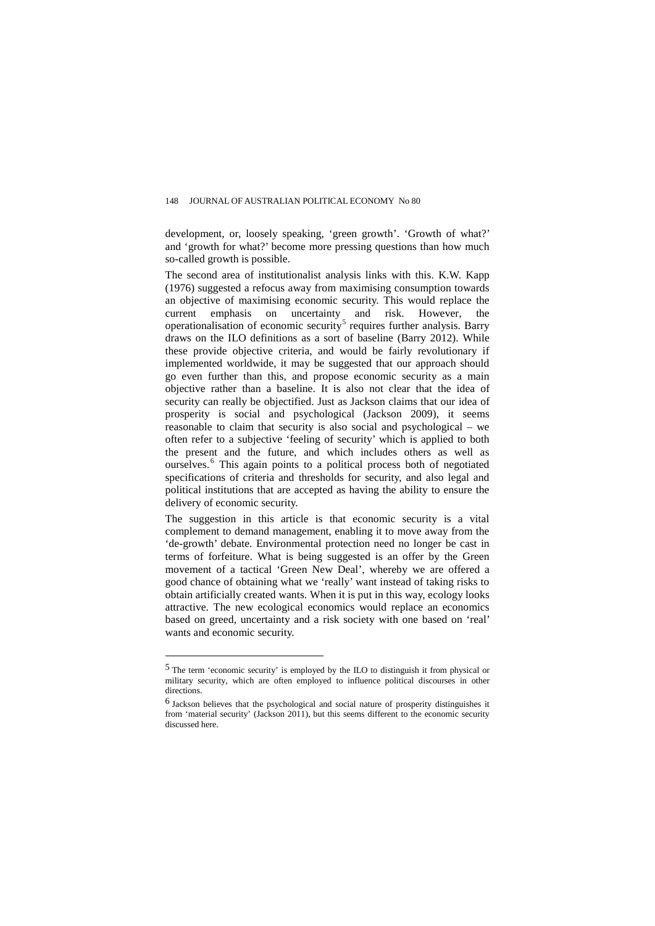development, or, loosely speaking, 'green growth'. 'Growth of what?' and 'growth for what?' become more pressing questions than how much so-called growth is possible.

The second area of institutionalist analysis links with this. K.W. Kapp (1976) suggested a refocus away from maximising consumption towards an objective of maximising economic security. This would replace the current emphasis on uncertainty and risk. However, the operationalisation of economic security<sup>[5](#page-19-0)</sup> requires further analysis. Barry draws on the ILO definitions as a sort of baseline (Barry 2012). While these provide objective criteria, and would be fairly revolutionary if implemented worldwide, it may be suggested that our approach should go even further than this, and propose economic security as a main objective rather than a baseline. It is also not clear that the idea of security can really be objectified. Just as Jackson claims that our idea of prosperity is social and psychological (Jackson 2009), it seems reasonable to claim that security is also social and psychological – we often refer to a subjective 'feeling of security' which is applied to both the present and the future, and which includes others as well as ourselves. [6](#page-19-1) This again points to a political process both of negotiated specifications of criteria and thresholds for security, and also legal and political institutions that are accepted as having the ability to ensure the delivery of economic security.

The suggestion in this article is that economic security is a vital complement to demand management, enabling it to move away from the 'de-growth' debate. Environmental protection need no longer be cast in terms of forfeiture. What is being suggested is an offer by the Green movement of a tactical 'Green New Deal', whereby we are offered a good chance of obtaining what we 'really' want instead of taking risks to obtain artificially created wants. When it is put in this way, ecology looks attractive. The new ecological economics would replace an economics based on greed, uncertainty and a risk society with one based on 'real' wants and economic security.

 $\overline{a}$ 

<span id="page-19-0"></span><sup>5</sup> The term 'economic security' is employed by the ILO to distinguish it from physical or military security, which are often employed to influence political discourses in other directions.

<span id="page-19-1"></span><sup>6</sup> Jackson believes that the psychological and social nature of prosperity distinguishes it from 'material security' (Jackson 2011), but this seems different to the economic security discussed here.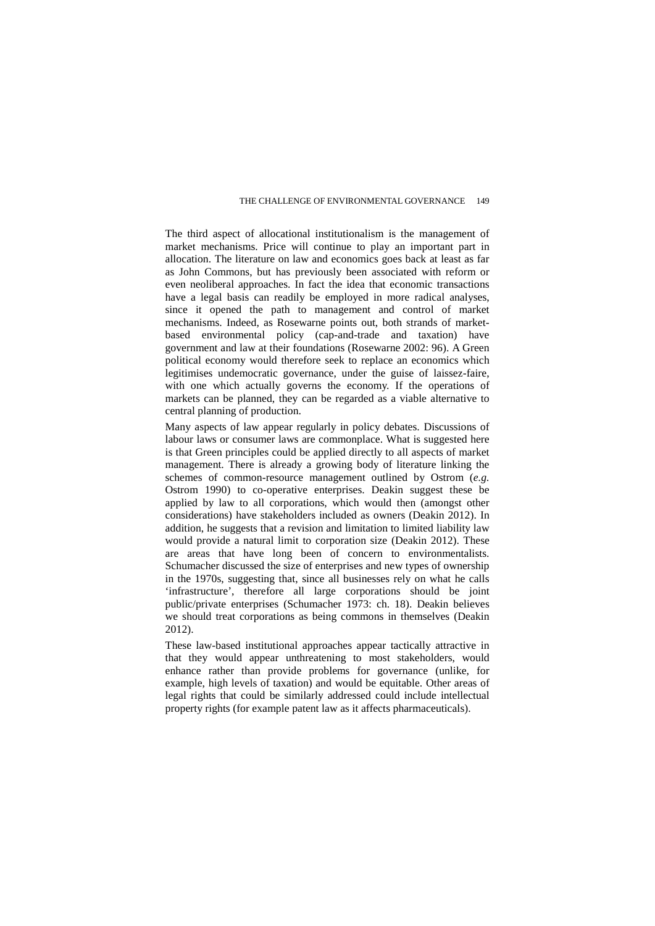The third aspect of allocational institutionalism is the management of market mechanisms. Price will continue to play an important part in allocation. The literature on law and economics goes back at least as far as John Commons, but has previously been associated with reform or even neoliberal approaches. In fact the idea that economic transactions have a legal basis can readily be employed in more radical analyses, since it opened the path to management and control of market mechanisms. Indeed, as Rosewarne points out, both strands of marketbased environmental policy (cap-and-trade and taxation) have government and law at their foundations (Rosewarne 2002: 96). A Green political economy would therefore seek to replace an economics which legitimises undemocratic governance, under the guise of laissez-faire, with one which actually governs the economy. If the operations of markets can be planned, they can be regarded as a viable alternative to central planning of production.

Many aspects of law appear regularly in policy debates. Discussions of labour laws or consumer laws are commonplace. What is suggested here is that Green principles could be applied directly to all aspects of market management. There is already a growing body of literature linking the schemes of common-resource management outlined by Ostrom (*e.g.* Ostrom 1990) to co-operative enterprises. Deakin suggest these be applied by law to all corporations, which would then (amongst other considerations) have stakeholders included as owners (Deakin 2012). In addition, he suggests that a revision and limitation to limited liability law would provide a natural limit to corporation size (Deakin 2012). These are areas that have long been of concern to environmentalists. Schumacher discussed the size of enterprises and new types of ownership in the 1970s, suggesting that, since all businesses rely on what he calls 'infrastructure', therefore all large corporations should be joint public/private enterprises (Schumacher 1973: ch. 18). Deakin believes we should treat corporations as being commons in themselves (Deakin 2012).

These law-based institutional approaches appear tactically attractive in that they would appear unthreatening to most stakeholders, would enhance rather than provide problems for governance (unlike, for example, high levels of taxation) and would be equitable. Other areas of legal rights that could be similarly addressed could include intellectual property rights (for example patent law as it affects pharmaceuticals).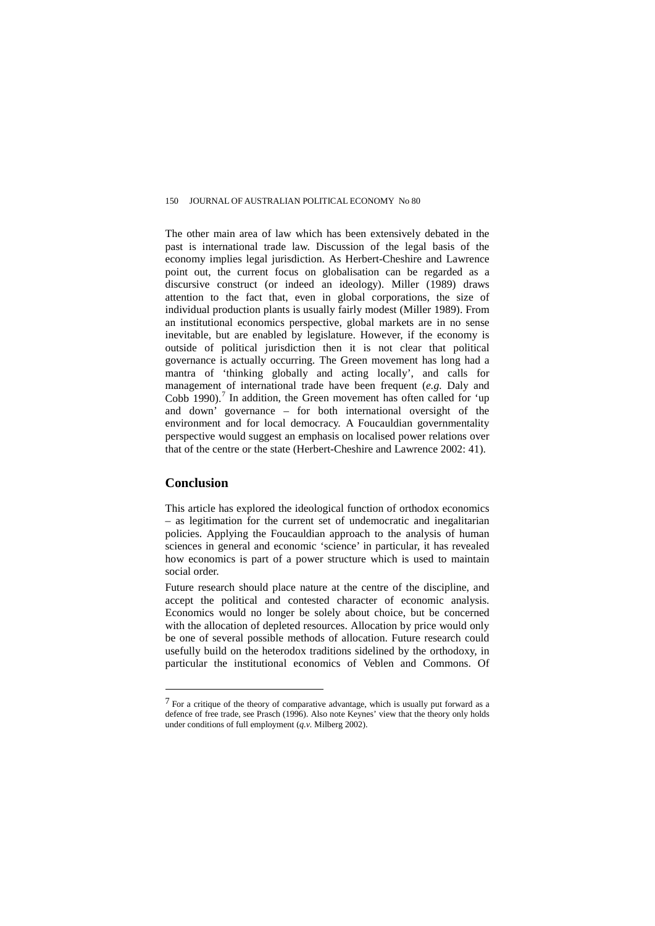The other main area of law which has been extensively debated in the past is international trade law. Discussion of the legal basis of the economy implies legal jurisdiction. As Herbert-Cheshire and Lawrence point out, the current focus on globalisation can be regarded as a discursive construct (or indeed an ideology). Miller (1989) draws attention to the fact that, even in global corporations, the size of individual production plants is usually fairly modest (Miller 1989). From an institutional economics perspective, global markets are in no sense inevitable, but are enabled by legislature. However, if the economy is outside of political jurisdiction then it is not clear that political governance is actually occurring. The Green movement has long had a mantra of 'thinking globally and acting locally', and calls for management of international trade have been frequent (*e.g.* Daly and Cobb 1990).<sup> $\prime$ </sup> In addition, the Green movement has often called for 'up and down' governance – for both international oversight of the environment and for local democracy. A Foucauldian governmentality perspective would suggest an emphasis on localised power relations over that of the centre or the state (Herbert-Cheshire and Lawrence 2002: 41).

# **Conclusion**

 $\overline{a}$ 

This article has explored the ideological function of orthodox economics – as legitimation for the current set of undemocratic and inegalitarian policies. Applying the Foucauldian approach to the analysis of human sciences in general and economic 'science' in particular, it has revealed how economics is part of a power structure which is used to maintain social order.

Future research should place nature at the centre of the discipline, and accept the political and contested character of economic analysis. Economics would no longer be solely about choice, but be concerned with the allocation of depleted resources. Allocation by price would only be one of several possible methods of allocation. Future research could usefully build on the heterodox traditions sidelined by the orthodoxy, in particular the institutional economics of Veblen and Commons. Of

<span id="page-21-0"></span><sup>7</sup> For a critique of the theory of comparative advantage, which is usually put forward as a defence of free trade, see Prasch (1996). Also note Keynes' view that the theory only holds under conditions of full employment (*q.v.* Milberg 2002).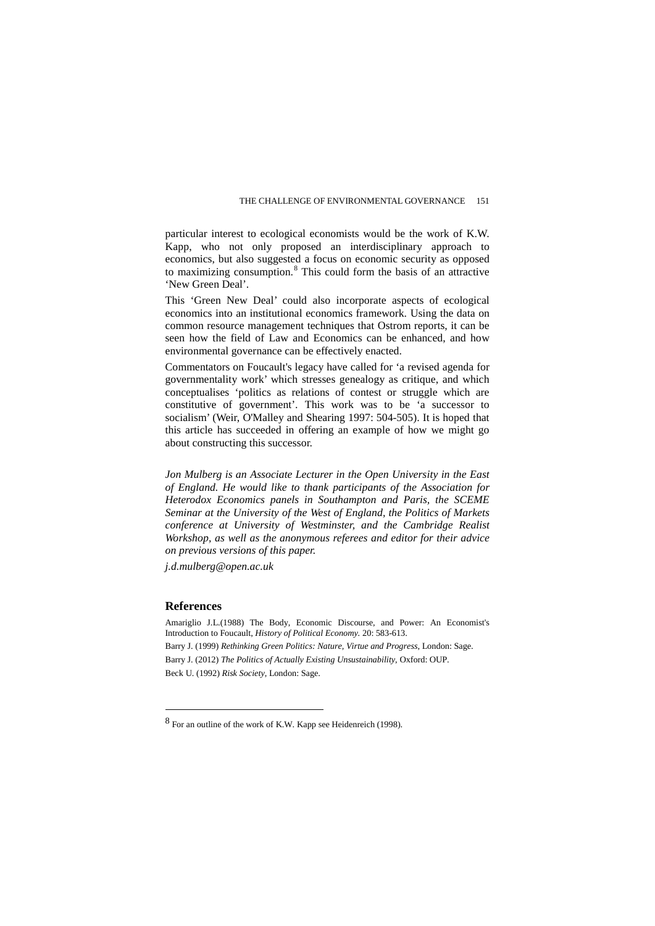particular interest to ecological economists would be the work of K.W. Kapp, who not only proposed an interdisciplinary approach to economics, but also suggested a focus on economic security as opposed to maximizing consumption.[8](#page-22-0) This could form the basis of an attractive 'New Green Deal'.

This 'Green New Deal' could also incorporate aspects of ecological economics into an institutional economics framework. Using the data on common resource management techniques that Ostrom reports, it can be seen how the field of Law and Economics can be enhanced, and how environmental governance can be effectively enacted.

Commentators on Foucault's legacy have called for 'a revised agenda for governmentality work' which stresses genealogy as critique, and which conceptualises 'politics as relations of contest or struggle which are constitutive of government'. This work was to be 'a successor to socialism' (Weir, O'Malley and Shearing 1997: 504-505). It is hoped that this article has succeeded in offering an example of how we might go about constructing this successor.

*Jon Mulberg is an Associate Lecturer in the Open University in the East of England. He would like to thank participants of the Association for Heterodox Economics panels in Southampton and Paris, the SCEME Seminar at the University of the West of England, the Politics of Markets conference at University of Westminster, and the Cambridge Realist Workshop, as well as the anonymous referees and editor for their advice on previous versions of this paper.* 

*j.d.mulberg@open.ac.uk* 

## **References**

 $\overline{a}$ 

Amariglio J.L.(1988) The Body, Economic Discourse, and Power: An Economist's Introduction to Foucault, *History of Political Economy.* 20: 583-613. Barry J. (1999) *Rethinking Green Politics: Nature, Virtue and Progress*, London: Sage. Barry J. (2012) *The Politics of Actually Existing Unsustainability*, Oxford: OUP. Beck U. (1992) *Risk Society*, London: Sage.

<span id="page-22-0"></span><sup>8</sup> For an outline of the work of K.W. Kapp see Heidenreich (1998).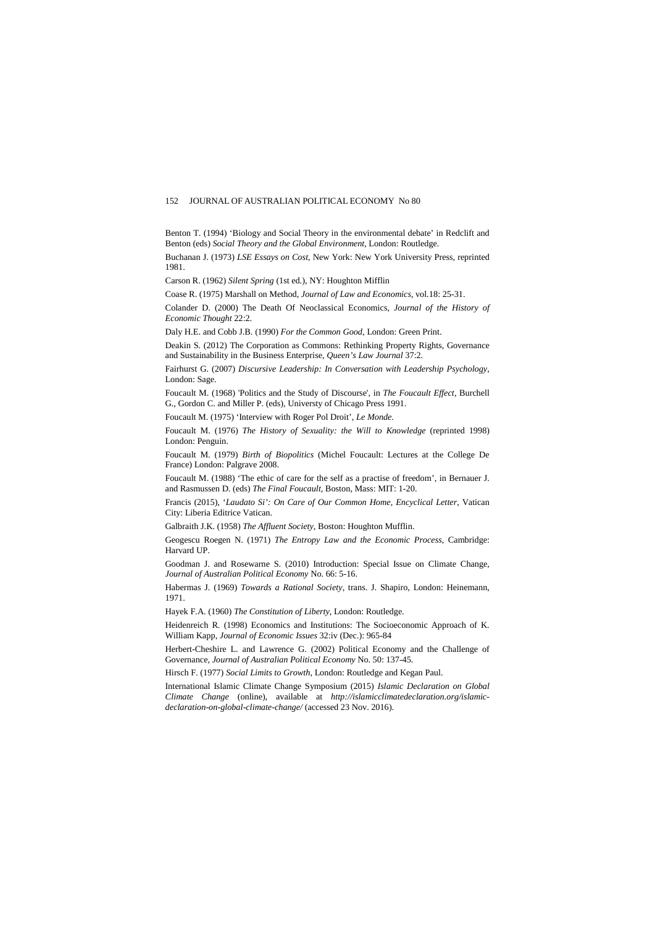Benton T. (1994) 'Biology and Social Theory in the environmental debate' in Redclift and Benton (eds) *Social Theory and the Global Environment*, London: Routledge.

Buchanan J. (1973) *LSE Essays on Cost*, New York: New York University Press, reprinted 1981.

Carson R. (1962) *Silent Spring* (1st ed.), NY: Houghton Mifflin

Coase R. (1975) Marshall on Method, *Journal of Law and Economics*, vol.18: 25-31.

Colander D. (2000) The Death Of Neoclassical Economics, *Journal of the History of Economic Thought* 22:2.

Daly H.E. and Cobb J.B. (1990) *For the Common Good*, London: Green Print.

Deakin S. (2012) The Corporation as Commons: Rethinking Property Rights, Governance and Sustainability in the Business Enterprise, *Queen's Law Journal* 37:2.

Fairhurst G. (2007) *Discursive Leadership: In Conversation with Leadership Psychology*, London: Sage.

Foucault M. (1968) 'Politics and the Study of Discourse', in *The Foucault Effect*, Burchell G., Gordon C. and Miller P. (eds), Universty of Chicago Press 1991.

Foucault M. (1975) 'Interview with Roger Pol Droit', *Le Monde.*

Foucault M. (1976) *The History of Sexuality: the Will to Knowledge* (reprinted 1998) London: Penguin.

Foucault M. (1979) *Birth of Biopolitics* (Michel Foucault: Lectures at the College De France) London: Palgrave 2008.

Foucault M. (1988) 'The ethic of care for the self as a practise of freedom', in Bernauer J. and Rasmussen D. (eds) *The Final Foucault,* Boston, Mass: MIT: 1-20.

Francis (2015), '*Laudato Si': On Care of Our Common Home, Encyclical Letter*, Vatican City: Liberia Editrice Vatican.

Galbraith J.K. (1958) *The Affluent Society*, Boston: Houghton Mufflin.

Geogescu Roegen N. (1971) *The Entropy Law and the Economic Process*, Cambridge: Harvard UP.

Goodman J. and Rosewarne S. (2010) Introduction: Special Issue on Climate Change, *Journal of Australian Political Economy* No. 66: 5-16.

Habermas J. (1969) *Towards a Rational Society*, trans. J. Shapiro, London: Heinemann, 1971.

Hayek F.A. (1960) *The Constitution of Liberty*, London: Routledge.

Heidenreich R. (1998) Economics and Institutions: The Socioeconomic Approach of K. William Kapp, *Journal of Economic Issues* 32:iv (Dec.): 965-84

Herbert-Cheshire L. and Lawrence G. (2002) Political Economy and the Challenge of Governance, *Journal of Australian Political Economy* No. 50: 137-45.

Hirsch F. (1977) *Social Limits to Growth*, London: Routledge and Kegan Paul.

International Islamic Climate Change Symposium (2015) *Islamic Declaration on Global Climate Change* (online), available at *[http://islamicclimatedeclaration.org/islamic](http://islamicclimatedeclaration.org/islamic-declaration-on-global-climate-change/)[declaration-on-global-climate-change/](http://islamicclimatedeclaration.org/islamic-declaration-on-global-climate-change/)* (accessed 23 Nov. 2016).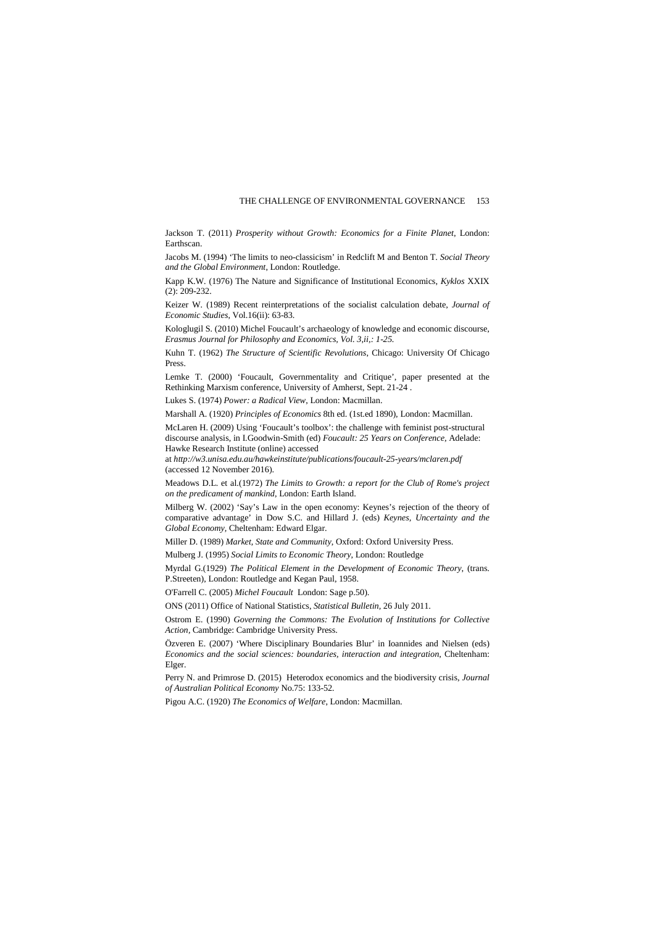Jackson T. (2011) *Prosperity without Growth: Economics for a Finite Planet*, London: Earthscan.

Jacobs M. (1994) 'The limits to neo-classicism' in Redclift M and Benton T. *Social Theory and the Global Environment*, London: Routledge.

Kapp K.W. (1976) The Nature and Significance of Institutional Economics, *Kyklos* XXIX (2): 209-232.

Keizer W. (1989) Recent reinterpretations of the socialist calculation debate, *Journal of Economic Studies*, Vol.16(ii): 63-83.

Kologlugil S. (2010) Michel Foucault's archaeology of knowledge and economic discourse, *Erasmus Journal for Philosophy and Economics, Vol. 3,ii,: 1-25.*

Kuhn T. (1962) *The Structure of Scientific Revolutions*, Chicago: University Of Chicago Press.

Lemke T. (2000) 'Foucault, Governmentality and Critique', paper presented at the Rethinking Marxism conference, University of Amherst, Sept. 21-24 .

Lukes S. (1974) *Power: a Radical View*, London: Macmillan.

Marshall A. (1920) *Principles of Economics* 8th ed. (1st.ed 1890), London: Macmillan.

McLaren H. (2009) Using 'Foucault's toolbox': the challenge with feminist post-structural discourse analysis, in I.Goodwin-Smith (ed) *Foucault: 25 Years on Conference*, Adelade: Hawke Research Institute (online) accessed

at *<http://w3.unisa.edu.au/hawkeinstitute/publications/foucault-25-years/mclaren.pdf>* (accessed 12 November 2016).

Meadows D.L. et al.(1972) *The Limits to Growth: a report for the Club of Rome's project on the predicament of mankind*, London: Earth Island.

Milberg W. (2002) 'Say's Law in the open economy: Keynes's rejection of the theory of comparative advantage' in Dow S.C. and Hillard J. (eds) *Keynes, Uncertainty and the Global Economy,* Cheltenham: Edward Elgar.

Miller D. (1989) *Market, State and Community*, Oxford: Oxford University Press.

Mulberg J. (1995) *Social Limits to Economic Theory*, London: Routledge

Myrdal G.(1929) *The Political Element in the Development of Economic Theory*, (trans. P.Streeten), London: Routledge and Kegan Paul, 1958.

O'Farrell C. (2005) *Michel Foucault* London: Sage p.50).

ONS (2011) Office of National Statistics, *Statistical Bulletin,* 26 July 2011.

Ostrom E. (1990) *Governing the Commons: The Evolution of Institutions for Collective Action,* Cambridge: Cambridge University Press.

Özveren E. (2007) 'Where Disciplinary Boundaries Blur' in Ioannides and Nielsen (eds) *Economics and the social sciences: boundaries, interaction and integration*, Cheltenham: Elger.

Perry N. and Primrose D. (2015) Heterodox economics and the biodiversity crisis, *Journal of Australian Political Economy* No.75: 133-52*.* 

Pigou A.C. (1920) *The Economics of Welfare*, London: Macmillan.